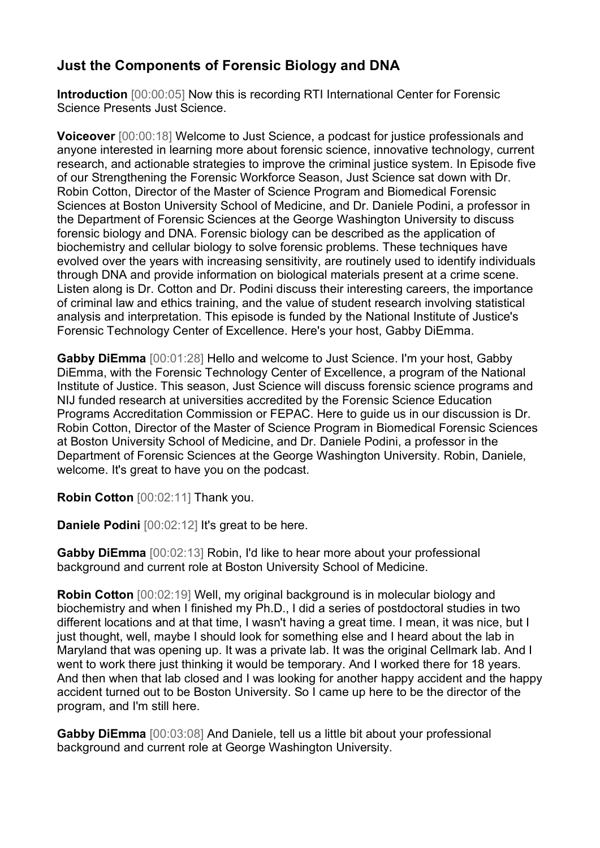## **Just the Components of Forensic Biology and DNA**

**Introduction** [00:00:05] Now this is recording RTI International Center for Forensic Science Presents Just Science.

**Voiceover** [00:00:18] Welcome to Just Science, a podcast for justice professionals and anyone interested in learning more about forensic science, innovative technology, current research, and actionable strategies to improve the criminal justice system. In Episode five of our Strengthening the Forensic Workforce Season, Just Science sat down with Dr. Robin Cotton, Director of the Master of Science Program and Biomedical Forensic Sciences at Boston University School of Medicine, and Dr. Daniele Podini, a professor in the Department of Forensic Sciences at the George Washington University to discuss forensic biology and DNA. Forensic biology can be described as the application of biochemistry and cellular biology to solve forensic problems. These techniques have evolved over the years with increasing sensitivity, are routinely used to identify individuals through DNA and provide information on biological materials present at a crime scene. Listen along is Dr. Cotton and Dr. Podini discuss their interesting careers, the importance of criminal law and ethics training, and the value of student research involving statistical analysis and interpretation. This episode is funded by the National Institute of Justice's Forensic Technology Center of Excellence. Here's your host, Gabby DiEmma.

**Gabby DiEmma** [00:01:28] Hello and welcome to Just Science. I'm your host, Gabby DiEmma, with the Forensic Technology Center of Excellence, a program of the National Institute of Justice. This season, Just Science will discuss forensic science programs and NIJ funded research at universities accredited by the Forensic Science Education Programs Accreditation Commission or FEPAC. Here to guide us in our discussion is Dr. Robin Cotton, Director of the Master of Science Program in Biomedical Forensic Sciences at Boston University School of Medicine, and Dr. Daniele Podini, a professor in the Department of Forensic Sciences at the George Washington University. Robin, Daniele, welcome. It's great to have you on the podcast.

**Robin Cotton** [00:02:11] Thank you.

**Daniele Podini** [00:02:12] It's great to be here.

**Gabby DiEmma** [00:02:13] Robin, I'd like to hear more about your professional background and current role at Boston University School of Medicine.

**Robin Cotton** [00:02:19] Well, my original background is in molecular biology and biochemistry and when I finished my Ph.D., I did a series of postdoctoral studies in two different locations and at that time, I wasn't having a great time. I mean, it was nice, but I just thought, well, maybe I should look for something else and I heard about the lab in Maryland that was opening up. It was a private lab. It was the original Cellmark lab. And I went to work there just thinking it would be temporary. And I worked there for 18 years. And then when that lab closed and I was looking for another happy accident and the happy accident turned out to be Boston University. So I came up here to be the director of the program, and I'm still here.

**Gabby DiEmma** [00:03:08] And Daniele, tell us a little bit about your professional background and current role at George Washington University.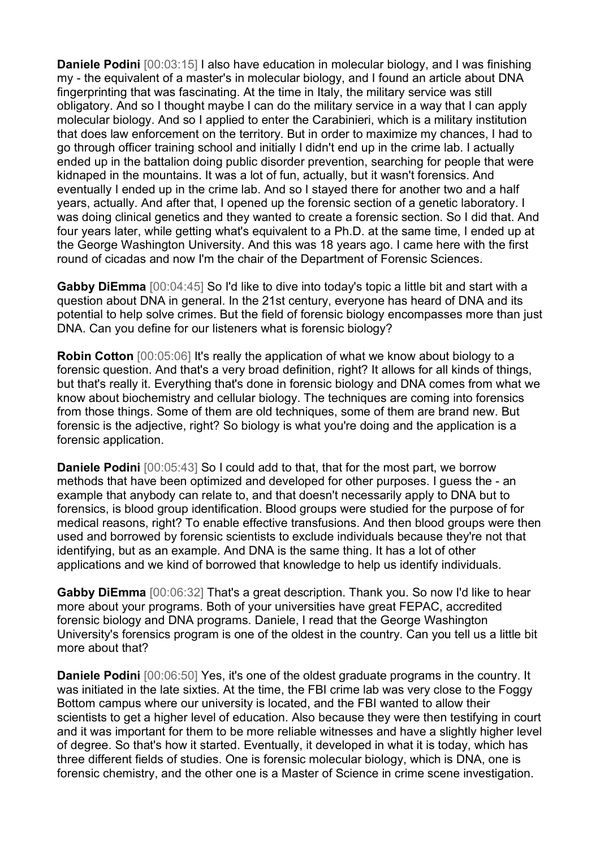**Daniele Podini** [00:03:15] I also have education in molecular biology, and I was finishing my - the equivalent of a master's in molecular biology, and I found an article about DNA fingerprinting that was fascinating. At the time in Italy, the military service was still obligatory. And so I thought maybe I can do the military service in a way that I can apply molecular biology. And so I applied to enter the Carabinieri, which is a military institution that does law enforcement on the territory. But in order to maximize my chances, I had to go through officer training school and initially I didn't end up in the crime lab. I actually ended up in the battalion doing public disorder prevention, searching for people that were kidnaped in the mountains. It was a lot of fun, actually, but it wasn't forensics. And eventually I ended up in the crime lab. And so I stayed there for another two and a half years, actually. And after that, I opened up the forensic section of a genetic laboratory. I was doing clinical genetics and they wanted to create a forensic section. So I did that. And four years later, while getting what's equivalent to a Ph.D. at the same time, I ended up at the George Washington University. And this was 18 years ago. I came here with the first round of cicadas and now I'm the chair of the Department of Forensic Sciences.

**Gabby DiEmma** [00:04:45] So I'd like to dive into today's topic a little bit and start with a question about DNA in general. In the 21st century, everyone has heard of DNA and its potential to help solve crimes. But the field of forensic biology encompasses more than just DNA. Can you define for our listeners what is forensic biology?

**Robin Cotton** [00:05:06] It's really the application of what we know about biology to a forensic question. And that's a very broad definition, right? It allows for all kinds of things, but that's really it. Everything that's done in forensic biology and DNA comes from what we know about biochemistry and cellular biology. The techniques are coming into forensics from those things. Some of them are old techniques, some of them are brand new. But forensic is the adjective, right? So biology is what you're doing and the application is a forensic application.

**Daniele Podini** [00:05:43] So I could add to that, that for the most part, we borrow methods that have been optimized and developed for other purposes. I guess the - an example that anybody can relate to, and that doesn't necessarily apply to DNA but to forensics, is blood group identification. Blood groups were studied for the purpose of for medical reasons, right? To enable effective transfusions. And then blood groups were then used and borrowed by forensic scientists to exclude individuals because they're not that identifying, but as an example. And DNA is the same thing. It has a lot of other applications and we kind of borrowed that knowledge to help us identify individuals.

**Gabby DiEmma** [00:06:32] That's a great description. Thank you. So now I'd like to hear more about your programs. Both of your universities have great FEPAC, accredited forensic biology and DNA programs. Daniele, I read that the George Washington University's forensics program is one of the oldest in the country. Can you tell us a little bit more about that?

**Daniele Podini** [00:06:50] Yes, it's one of the oldest graduate programs in the country. It was initiated in the late sixties. At the time, the FBI crime lab was very close to the Foggy Bottom campus where our university is located, and the FBI wanted to allow their scientists to get a higher level of education. Also because they were then testifying in court and it was important for them to be more reliable witnesses and have a slightly higher level of degree. So that's how it started. Eventually, it developed in what it is today, which has three different fields of studies. One is forensic molecular biology, which is DNA, one is forensic chemistry, and the other one is a Master of Science in crime scene investigation.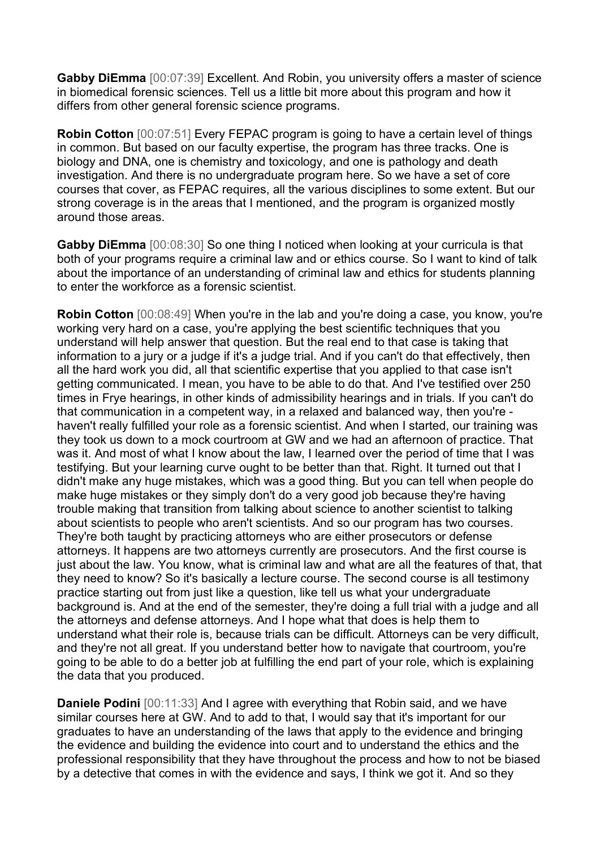**Gabby DiEmma** [00:07:39] Excellent. And Robin, you university offers a master of science in biomedical forensic sciences. Tell us a little bit more about this program and how it differs from other general forensic science programs.

**Robin Cotton** [00:07:51] Every FEPAC program is going to have a certain level of things in common. But based on our faculty expertise, the program has three tracks. One is biology and DNA, one is chemistry and toxicology, and one is pathology and death investigation. And there is no undergraduate program here. So we have a set of core courses that cover, as FEPAC requires, all the various disciplines to some extent. But our strong coverage is in the areas that I mentioned, and the program is organized mostly around those areas.

**Gabby DiEmma** [00:08:30] So one thing I noticed when looking at your curricula is that both of your programs require a criminal law and or ethics course. So I want to kind of talk about the importance of an understanding of criminal law and ethics for students planning to enter the workforce as a forensic scientist.

**Robin Cotton** [00:08:49] When you're in the lab and you're doing a case, you know, you're working very hard on a case, you're applying the best scientific techniques that you understand will help answer that question. But the real end to that case is taking that information to a jury or a judge if it's a judge trial. And if you can't do that effectively, then all the hard work you did, all that scientific expertise that you applied to that case isn't getting communicated. I mean, you have to be able to do that. And I've testified over 250 times in Frye hearings, in other kinds of admissibility hearings and in trials. If you can't do that communication in a competent way, in a relaxed and balanced way, then you're haven't really fulfilled your role as a forensic scientist. And when I started, our training was they took us down to a mock courtroom at GW and we had an afternoon of practice. That was it. And most of what I know about the law, I learned over the period of time that I was testifying. But your learning curve ought to be better than that. Right. It turned out that I didn't make any huge mistakes, which was a good thing. But you can tell when people do make huge mistakes or they simply don't do a very good job because they're having trouble making that transition from talking about science to another scientist to talking about scientists to people who aren't scientists. And so our program has two courses. They're both taught by practicing attorneys who are either prosecutors or defense attorneys. It happens are two attorneys currently are prosecutors. And the first course is just about the law. You know, what is criminal law and what are all the features of that, that they need to know? So it's basically a lecture course. The second course is all testimony practice starting out from just like a question, like tell us what your undergraduate background is. And at the end of the semester, they're doing a full trial with a judge and all the attorneys and defense attorneys. And I hope what that does is help them to understand what their role is, because trials can be difficult. Attorneys can be very difficult, and they're not all great. If you understand better how to navigate that courtroom, you're going to be able to do a better job at fulfilling the end part of your role, which is explaining the data that you produced.

**Daniele Podini** [00:11:33] And I agree with everything that Robin said, and we have similar courses here at GW. And to add to that, I would say that it's important for our graduates to have an understanding of the laws that apply to the evidence and bringing the evidence and building the evidence into court and to understand the ethics and the professional responsibility that they have throughout the process and how to not be biased by a detective that comes in with the evidence and says, I think we got it. And so they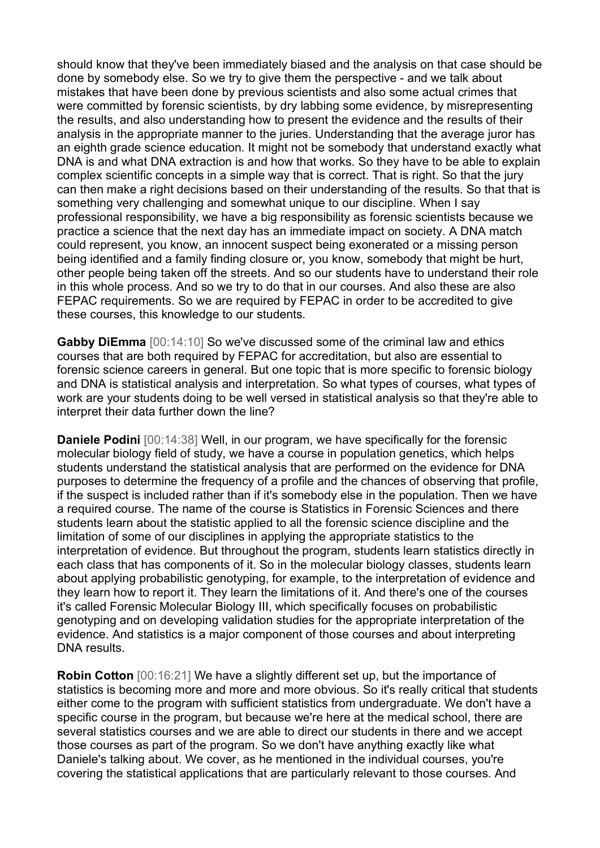should know that they've been immediately biased and the analysis on that case should be done by somebody else. So we try to give them the perspective - and we talk about mistakes that have been done by previous scientists and also some actual crimes that were committed by forensic scientists, by dry labbing some evidence, by misrepresenting the results, and also understanding how to present the evidence and the results of their analysis in the appropriate manner to the juries. Understanding that the average juror has an eighth grade science education. It might not be somebody that understand exactly what DNA is and what DNA extraction is and how that works. So they have to be able to explain complex scientific concepts in a simple way that is correct. That is right. So that the jury can then make a right decisions based on their understanding of the results. So that that is something very challenging and somewhat unique to our discipline. When I say professional responsibility, we have a big responsibility as forensic scientists because we practice a science that the next day has an immediate impact on society. A DNA match could represent, you know, an innocent suspect being exonerated or a missing person being identified and a family finding closure or, you know, somebody that might be hurt, other people being taken off the streets. And so our students have to understand their role in this whole process. And so we try to do that in our courses. And also these are also FEPAC requirements. So we are required by FEPAC in order to be accredited to give these courses, this knowledge to our students.

**Gabby DiEmma** [00:14:10] So we've discussed some of the criminal law and ethics courses that are both required by FEPAC for accreditation, but also are essential to forensic science careers in general. But one topic that is more specific to forensic biology and DNA is statistical analysis and interpretation. So what types of courses, what types of work are your students doing to be well versed in statistical analysis so that they're able to interpret their data further down the line?

**Daniele Podini** [00:14:38] Well, in our program, we have specifically for the forensic molecular biology field of study, we have a course in population genetics, which helps students understand the statistical analysis that are performed on the evidence for DNA purposes to determine the frequency of a profile and the chances of observing that profile, if the suspect is included rather than if it's somebody else in the population. Then we have a required course. The name of the course is Statistics in Forensic Sciences and there students learn about the statistic applied to all the forensic science discipline and the limitation of some of our disciplines in applying the appropriate statistics to the interpretation of evidence. But throughout the program, students learn statistics directly in each class that has components of it. So in the molecular biology classes, students learn about applying probabilistic genotyping, for example, to the interpretation of evidence and they learn how to report it. They learn the limitations of it. And there's one of the courses it's called Forensic Molecular Biology III, which specifically focuses on probabilistic genotyping and on developing validation studies for the appropriate interpretation of the evidence. And statistics is a major component of those courses and about interpreting DNA results.

**Robin Cotton** [00:16:21] We have a slightly different set up, but the importance of statistics is becoming more and more and more obvious. So it's really critical that students either come to the program with sufficient statistics from undergraduate. We don't have a specific course in the program, but because we're here at the medical school, there are several statistics courses and we are able to direct our students in there and we accept those courses as part of the program. So we don't have anything exactly like what Daniele's talking about. We cover, as he mentioned in the individual courses, you're covering the statistical applications that are particularly relevant to those courses. And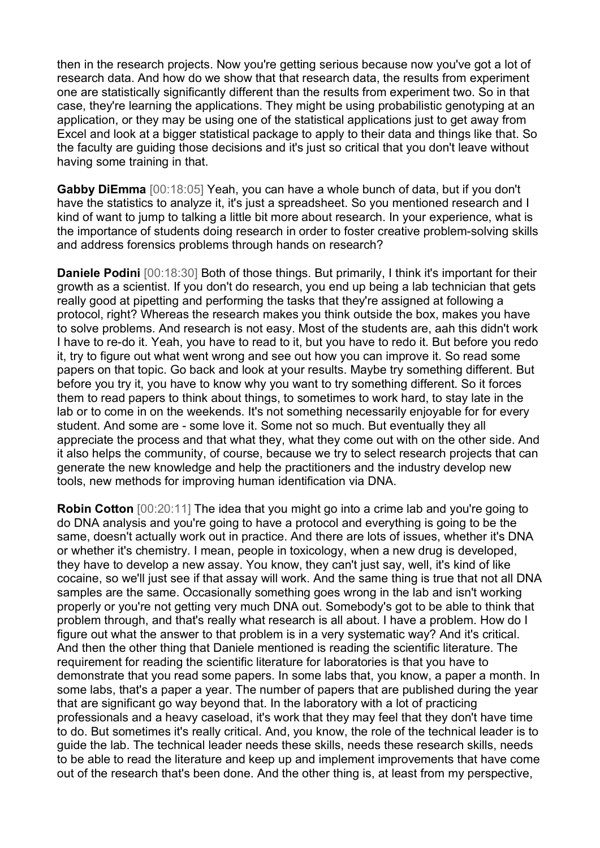then in the research projects. Now you're getting serious because now you've got a lot of research data. And how do we show that that research data, the results from experiment one are statistically significantly different than the results from experiment two. So in that case, they're learning the applications. They might be using probabilistic genotyping at an application, or they may be using one of the statistical applications just to get away from Excel and look at a bigger statistical package to apply to their data and things like that. So the faculty are guiding those decisions and it's just so critical that you don't leave without having some training in that.

**Gabby DiEmma** [00:18:05] Yeah, you can have a whole bunch of data, but if you don't have the statistics to analyze it, it's just a spreadsheet. So you mentioned research and I kind of want to jump to talking a little bit more about research. In your experience, what is the importance of students doing research in order to foster creative problem-solving skills and address forensics problems through hands on research?

**Daniele Podini** [00:18:30] Both of those things. But primarily, I think it's important for their growth as a scientist. If you don't do research, you end up being a lab technician that gets really good at pipetting and performing the tasks that they're assigned at following a protocol, right? Whereas the research makes you think outside the box, makes you have to solve problems. And research is not easy. Most of the students are, aah this didn't work I have to re-do it. Yeah, you have to read to it, but you have to redo it. But before you redo it, try to figure out what went wrong and see out how you can improve it. So read some papers on that topic. Go back and look at your results. Maybe try something different. But before you try it, you have to know why you want to try something different. So it forces them to read papers to think about things, to sometimes to work hard, to stay late in the lab or to come in on the weekends. It's not something necessarily enjoyable for for every student. And some are - some love it. Some not so much. But eventually they all appreciate the process and that what they, what they come out with on the other side. And it also helps the community, of course, because we try to select research projects that can generate the new knowledge and help the practitioners and the industry develop new tools, new methods for improving human identification via DNA.

**Robin Cotton** [00:20:11] The idea that you might go into a crime lab and you're going to do DNA analysis and you're going to have a protocol and everything is going to be the same, doesn't actually work out in practice. And there are lots of issues, whether it's DNA or whether it's chemistry. I mean, people in toxicology, when a new drug is developed, they have to develop a new assay. You know, they can't just say, well, it's kind of like cocaine, so we'll just see if that assay will work. And the same thing is true that not all DNA samples are the same. Occasionally something goes wrong in the lab and isn't working properly or you're not getting very much DNA out. Somebody's got to be able to think that problem through, and that's really what research is all about. I have a problem. How do I figure out what the answer to that problem is in a very systematic way? And it's critical. And then the other thing that Daniele mentioned is reading the scientific literature. The requirement for reading the scientific literature for laboratories is that you have to demonstrate that you read some papers. In some labs that, you know, a paper a month. In some labs, that's a paper a year. The number of papers that are published during the year that are significant go way beyond that. In the laboratory with a lot of practicing professionals and a heavy caseload, it's work that they may feel that they don't have time to do. But sometimes it's really critical. And, you know, the role of the technical leader is to guide the lab. The technical leader needs these skills, needs these research skills, needs to be able to read the literature and keep up and implement improvements that have come out of the research that's been done. And the other thing is, at least from my perspective,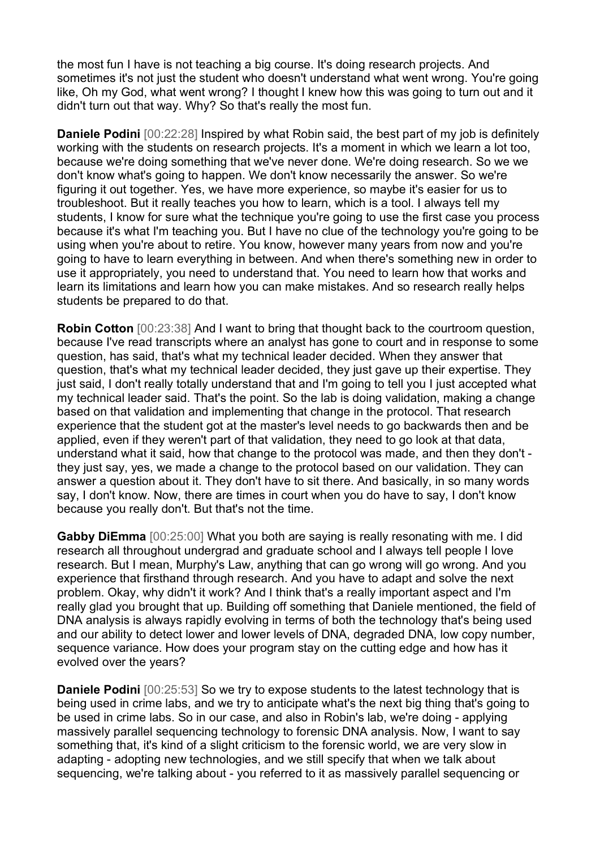the most fun I have is not teaching a big course. It's doing research projects. And sometimes it's not just the student who doesn't understand what went wrong. You're going like, Oh my God, what went wrong? I thought I knew how this was going to turn out and it didn't turn out that way. Why? So that's really the most fun.

**Daniele Podini** [00:22:28] Inspired by what Robin said, the best part of my job is definitely working with the students on research projects. It's a moment in which we learn a lot too, because we're doing something that we've never done. We're doing research. So we we don't know what's going to happen. We don't know necessarily the answer. So we're figuring it out together. Yes, we have more experience, so maybe it's easier for us to troubleshoot. But it really teaches you how to learn, which is a tool. I always tell my students, I know for sure what the technique you're going to use the first case you process because it's what I'm teaching you. But I have no clue of the technology you're going to be using when you're about to retire. You know, however many years from now and you're going to have to learn everything in between. And when there's something new in order to use it appropriately, you need to understand that. You need to learn how that works and learn its limitations and learn how you can make mistakes. And so research really helps students be prepared to do that.

**Robin Cotton** [00:23:38] And I want to bring that thought back to the courtroom question, because I've read transcripts where an analyst has gone to court and in response to some question, has said, that's what my technical leader decided. When they answer that question, that's what my technical leader decided, they just gave up their expertise. They just said, I don't really totally understand that and I'm going to tell you I just accepted what my technical leader said. That's the point. So the lab is doing validation, making a change based on that validation and implementing that change in the protocol. That research experience that the student got at the master's level needs to go backwards then and be applied, even if they weren't part of that validation, they need to go look at that data, understand what it said, how that change to the protocol was made, and then they don't they just say, yes, we made a change to the protocol based on our validation. They can answer a question about it. They don't have to sit there. And basically, in so many words say, I don't know. Now, there are times in court when you do have to say, I don't know because you really don't. But that's not the time.

**Gabby DiEmma** [00:25:00] What you both are saying is really resonating with me. I did research all throughout undergrad and graduate school and I always tell people I love research. But I mean, Murphy's Law, anything that can go wrong will go wrong. And you experience that firsthand through research. And you have to adapt and solve the next problem. Okay, why didn't it work? And I think that's a really important aspect and I'm really glad you brought that up. Building off something that Daniele mentioned, the field of DNA analysis is always rapidly evolving in terms of both the technology that's being used and our ability to detect lower and lower levels of DNA, degraded DNA, low copy number, sequence variance. How does your program stay on the cutting edge and how has it evolved over the years?

**Daniele Podini** [00:25:53] So we try to expose students to the latest technology that is being used in crime labs, and we try to anticipate what's the next big thing that's going to be used in crime labs. So in our case, and also in Robin's lab, we're doing - applying massively parallel sequencing technology to forensic DNA analysis. Now, I want to say something that, it's kind of a slight criticism to the forensic world, we are very slow in adapting - adopting new technologies, and we still specify that when we talk about sequencing, we're talking about - you referred to it as massively parallel sequencing or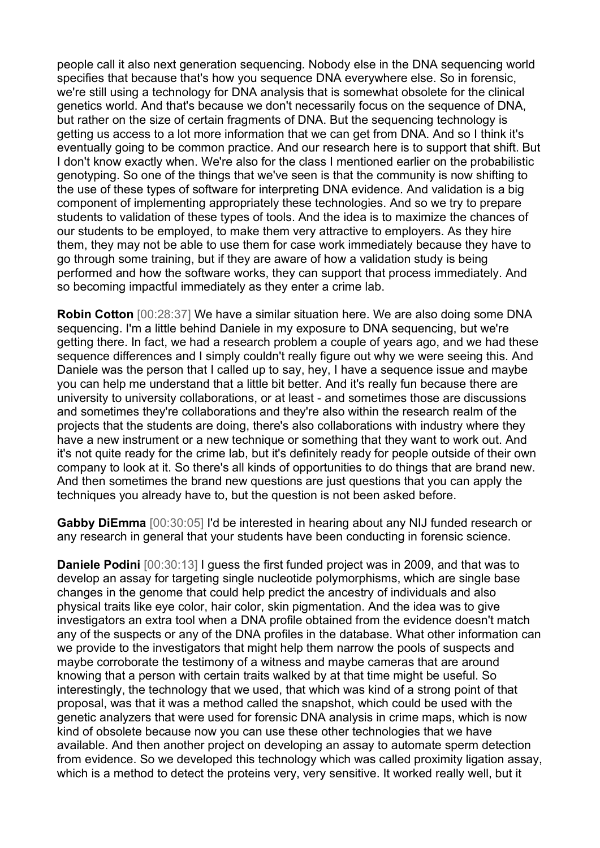people call it also next generation sequencing. Nobody else in the DNA sequencing world specifies that because that's how you sequence DNA everywhere else. So in forensic, we're still using a technology for DNA analysis that is somewhat obsolete for the clinical genetics world. And that's because we don't necessarily focus on the sequence of DNA, but rather on the size of certain fragments of DNA. But the sequencing technology is getting us access to a lot more information that we can get from DNA. And so I think it's eventually going to be common practice. And our research here is to support that shift. But I don't know exactly when. We're also for the class I mentioned earlier on the probabilistic genotyping. So one of the things that we've seen is that the community is now shifting to the use of these types of software for interpreting DNA evidence. And validation is a big component of implementing appropriately these technologies. And so we try to prepare students to validation of these types of tools. And the idea is to maximize the chances of our students to be employed, to make them very attractive to employers. As they hire them, they may not be able to use them for case work immediately because they have to go through some training, but if they are aware of how a validation study is being performed and how the software works, they can support that process immediately. And so becoming impactful immediately as they enter a crime lab.

**Robin Cotton** [00:28:37] We have a similar situation here. We are also doing some DNA sequencing. I'm a little behind Daniele in my exposure to DNA sequencing, but we're getting there. In fact, we had a research problem a couple of years ago, and we had these sequence differences and I simply couldn't really figure out why we were seeing this. And Daniele was the person that I called up to say, hey, I have a sequence issue and maybe you can help me understand that a little bit better. And it's really fun because there are university to university collaborations, or at least - and sometimes those are discussions and sometimes they're collaborations and they're also within the research realm of the projects that the students are doing, there's also collaborations with industry where they have a new instrument or a new technique or something that they want to work out. And it's not quite ready for the crime lab, but it's definitely ready for people outside of their own company to look at it. So there's all kinds of opportunities to do things that are brand new. And then sometimes the brand new questions are just questions that you can apply the techniques you already have to, but the question is not been asked before.

**Gabby DiEmma** [00:30:05] I'd be interested in hearing about any NIJ funded research or any research in general that your students have been conducting in forensic science.

**Daniele Podini** [00:30:13] I guess the first funded project was in 2009, and that was to develop an assay for targeting single nucleotide polymorphisms, which are single base changes in the genome that could help predict the ancestry of individuals and also physical traits like eye color, hair color, skin pigmentation. And the idea was to give investigators an extra tool when a DNA profile obtained from the evidence doesn't match any of the suspects or any of the DNA profiles in the database. What other information can we provide to the investigators that might help them narrow the pools of suspects and maybe corroborate the testimony of a witness and maybe cameras that are around knowing that a person with certain traits walked by at that time might be useful. So interestingly, the technology that we used, that which was kind of a strong point of that proposal, was that it was a method called the snapshot, which could be used with the genetic analyzers that were used for forensic DNA analysis in crime maps, which is now kind of obsolete because now you can use these other technologies that we have available. And then another project on developing an assay to automate sperm detection from evidence. So we developed this technology which was called proximity ligation assay, which is a method to detect the proteins very, very sensitive. It worked really well, but it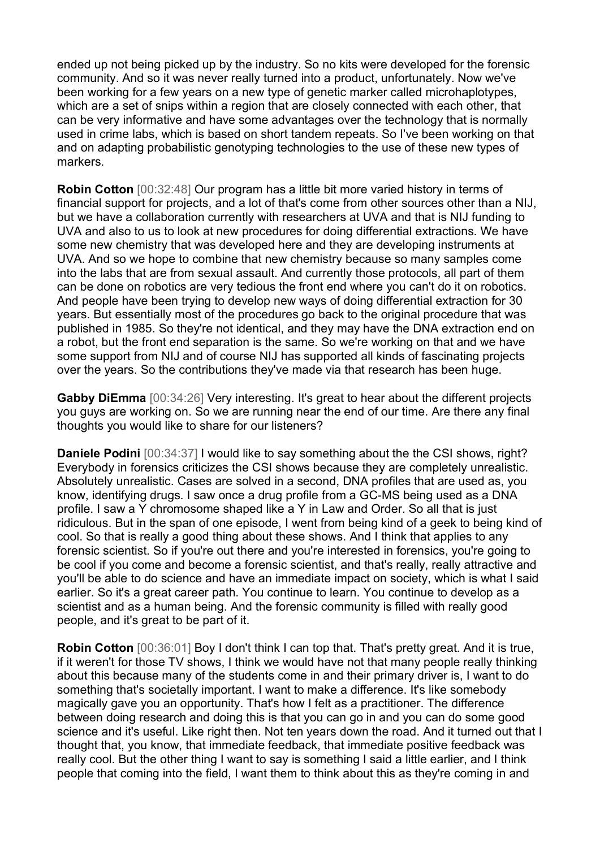ended up not being picked up by the industry. So no kits were developed for the forensic community. And so it was never really turned into a product, unfortunately. Now we've been working for a few years on a new type of genetic marker called microhaplotypes, which are a set of snips within a region that are closely connected with each other, that can be very informative and have some advantages over the technology that is normally used in crime labs, which is based on short tandem repeats. So I've been working on that and on adapting probabilistic genotyping technologies to the use of these new types of markers.

**Robin Cotton** [00:32:48] Our program has a little bit more varied history in terms of financial support for projects, and a lot of that's come from other sources other than a NIJ, but we have a collaboration currently with researchers at UVA and that is NIJ funding to UVA and also to us to look at new procedures for doing differential extractions. We have some new chemistry that was developed here and they are developing instruments at UVA. And so we hope to combine that new chemistry because so many samples come into the labs that are from sexual assault. And currently those protocols, all part of them can be done on robotics are very tedious the front end where you can't do it on robotics. And people have been trying to develop new ways of doing differential extraction for 30 years. But essentially most of the procedures go back to the original procedure that was published in 1985. So they're not identical, and they may have the DNA extraction end on a robot, but the front end separation is the same. So we're working on that and we have some support from NIJ and of course NIJ has supported all kinds of fascinating projects over the years. So the contributions they've made via that research has been huge.

**Gabby DiEmma** [00:34:26] Very interesting. It's great to hear about the different projects you guys are working on. So we are running near the end of our time. Are there any final thoughts you would like to share for our listeners?

**Daniele Podini** [00:34:37] I would like to say something about the the CSI shows, right? Everybody in forensics criticizes the CSI shows because they are completely unrealistic. Absolutely unrealistic. Cases are solved in a second, DNA profiles that are used as, you know, identifying drugs. I saw once a drug profile from a GC-MS being used as a DNA profile. I saw a Y chromosome shaped like a Y in Law and Order. So all that is just ridiculous. But in the span of one episode, I went from being kind of a geek to being kind of cool. So that is really a good thing about these shows. And I think that applies to any forensic scientist. So if you're out there and you're interested in forensics, you're going to be cool if you come and become a forensic scientist, and that's really, really attractive and you'll be able to do science and have an immediate impact on society, which is what I said earlier. So it's a great career path. You continue to learn. You continue to develop as a scientist and as a human being. And the forensic community is filled with really good people, and it's great to be part of it.

**Robin Cotton** [00:36:01] Boy I don't think I can top that. That's pretty great. And it is true, if it weren't for those TV shows, I think we would have not that many people really thinking about this because many of the students come in and their primary driver is, I want to do something that's societally important. I want to make a difference. It's like somebody magically gave you an opportunity. That's how I felt as a practitioner. The difference between doing research and doing this is that you can go in and you can do some good science and it's useful. Like right then. Not ten years down the road. And it turned out that I thought that, you know, that immediate feedback, that immediate positive feedback was really cool. But the other thing I want to say is something I said a little earlier, and I think people that coming into the field, I want them to think about this as they're coming in and